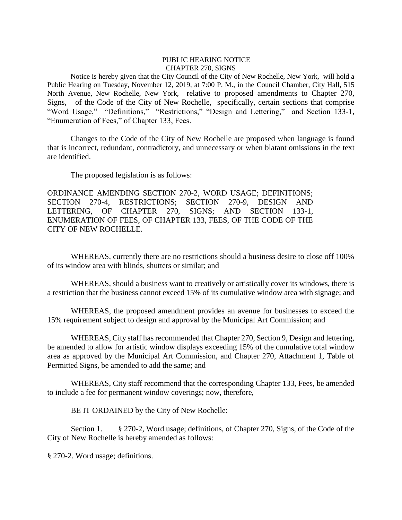## PUBLIC HEARING NOTICE CHAPTER 270, SIGNS

Notice is hereby given that the City Council of the City of New Rochelle, New York, will hold a Public Hearing on Tuesday, November 12, 2019, at 7:00 P. M., in the Council Chamber, City Hall, 515 North Avenue, New Rochelle, New York, relative to proposed amendments to Chapter 270, Signs, of the Code of the City of New Rochelle, specifically, certain sections that comprise "Word Usage," "Definitions," "Restrictions," "Design and Lettering," and Section 133-1, "Enumeration of Fees," of Chapter 133, Fees.

Changes to the Code of the City of New Rochelle are proposed when language is found that is incorrect, redundant, contradictory, and unnecessary or when blatant omissions in the text are identified.

The proposed legislation is as follows:

ORDINANCE AMENDING SECTION 270-2, WORD USAGE; DEFINITIONS; SECTION 270-4, RESTRICTIONS; SECTION 270-9, DESIGN AND LETTERING, OF CHAPTER 270, SIGNS; AND SECTION 133-1, ENUMERATION OF FEES, OF CHAPTER 133, FEES, OF THE CODE OF THE CITY OF NEW ROCHELLE.

WHEREAS, currently there are no restrictions should a business desire to close off 100% of its window area with blinds, shutters or similar; and

WHEREAS, should a business want to creatively or artistically cover its windows, there is a restriction that the business cannot exceed 15% of its cumulative window area with signage; and

WHEREAS, the proposed amendment provides an avenue for businesses to exceed the 15% requirement subject to design and approval by the Municipal Art Commission; and

WHEREAS, City staff has recommended that Chapter 270, Section 9, Design and lettering, be amended to allow for artistic window displays exceeding 15% of the cumulative total window area as approved by the Municipal Art Commission, and Chapter 270, Attachment 1, Table of Permitted Signs, be amended to add the same; and

WHEREAS, City staff recommend that the corresponding Chapter 133, Fees, be amended to include a fee for permanent window coverings; now, therefore,

BE IT ORDAINED by the City of New Rochelle:

Section 1. § 270-2, Word usage; definitions, of Chapter 270, Signs, of the Code of the City of New Rochelle is hereby amended as follows:

§ 270-2. Word usage; definitions.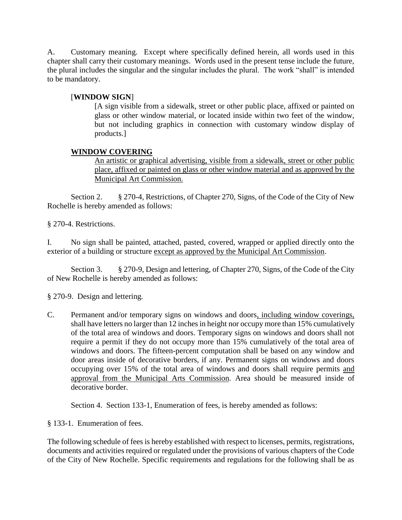A. Customary meaning. Except where specifically defined herein, all words used in this chapter shall carry their customary meanings. Words used in the present tense include the future, the plural includes the singular and the singular includes the plural. The work "shall" is intended to be mandatory.

## [**WINDOW SIGN**]

[A sign visible from a sidewalk, street or other public place, affixed or painted on glass or other window material, or located inside within two feet of the window, but not including graphics in connection with customary window display of products.]

## **WINDOW COVERING**

An artistic or graphical advertising, visible from a sidewalk, street or other public place, affixed or painted on glass or other window material and as approved by the Municipal Art Commission.

Section 2. § 270-4, Restrictions, of Chapter 270, Signs, of the Code of the City of New Rochelle is hereby amended as follows:

§ 270-4. Restrictions.

I. No sign shall be painted, attached, pasted, covered, wrapped or applied directly onto the exterior of a building or structure except as approved by the Municipal Art Commission.

Section 3. § 270-9, Design and lettering, of Chapter 270, Signs, of the Code of the City of New Rochelle is hereby amended as follows:

§ 270-9. Design and lettering.

C. Permanent and/or temporary signs on windows and doors, including window coverings, shall have letters no larger than 12 inches in height nor occupy more than 15% cumulatively of the total area of windows and doors. Temporary signs on windows and doors shall not require a permit if they do not occupy more than 15% cumulatively of the total area of windows and doors. The fifteen-percent computation shall be based on any window and door areas inside of decorative borders, if any. Permanent signs on windows and doors occupying over 15% of the total area of windows and doors shall require permits and approval from the Municipal Arts Commission. Area should be measured inside of decorative border.

Section 4. Section 133-1, Enumeration of fees, is hereby amended as follows:

§ 133-1. Enumeration of fees.

The following schedule of fees is hereby established with respect to licenses, permits, registrations, documents and activities required or regulated under the provisions of various chapters of the Code of the City of New Rochelle. Specific requirements and regulations for the following shall be as